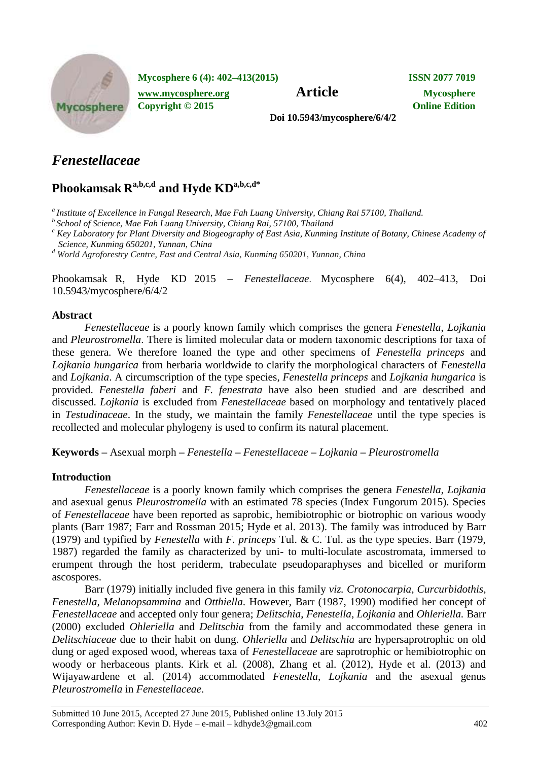

**Mycosphere 6 (4): 402–413(2015) ISSN 2077 7019**

**[www.mycosphere.org](http://www.mycosphere.org/) Article Mycosphere Copyright © 2015 Online Edition**

**Doi 10.5943/mycosphere/6/4/2**

# *Fenestellaceae*

## **Phookamsak R a,b,c,d and Hyde KDa,b,c,d\***

*a Institute of Excellence in Fungal Research, Mae Fah Luang University, Chiang Rai 57100, Thailand.*

*<sup>b</sup>School of Science, Mae Fah Luang University, Chiang Rai, 57100, Thailand*

*<sup>c</sup> Key Laboratory for Plant Diversity and Biogeography of East Asia, Kunming Institute of Botany, Chinese Academy of Science, Kunming 650201, Yunnan, China* 

*<sup>d</sup> World Agroforestry Centre, East and Central Asia, Kunming 650201, Yunnan, China*

Phookamsak R, Hyde KD 2015 **–** *Fenestellaceae*. Mycosphere 6(4), 402–413, Doi 10.5943/mycosphere/6/4/2

## **Abstract**

*Fenestellaceae* is a poorly known family which comprises the genera *Fenestella*, *Lojkania*  and *Pleurostromella*. There is limited molecular data or modern taxonomic descriptions for taxa of these genera. We therefore loaned the type and other specimens of *Fenestella princeps* and *Lojkania hungarica* from herbaria worldwide to clarify the morphological characters of *Fenestella*  and *Lojkania*. A circumscription of the type species, *Fenestella princeps* and *Lojkania hungarica* is provided. *Fenestella faberi* and *F. fenestrata* have also been studied and are described and discussed. *Lojkania* is excluded from *Fenestellaceae* based on morphology and tentatively placed in *Testudinaceae*. In the study, we maintain the family *Fenestellaceae* until the type species is recollected and molecular phylogeny is used to confirm its natural placement.

**Keywords –** Asexual morph **–** *Fenestella* **–** *Fenestellaceae* **–** *Lojkania* **–** *Pleurostromella*

## **Introduction**

*Fenestellaceae* is a poorly known family which comprises the genera *Fenestella*, *Lojkania* and asexual genus *Pleurostromella* with an estimated 78 species (Index Fungorum 2015). Species of *Fenestellaceae* have been reported as saprobic, hemibiotrophic or biotrophic on various woody plants (Barr 1987; Farr and Rossman 2015; Hyde et al. 2013). The family was introduced by Barr (1979) and typified by *Fenestella* with *F. princeps* Tul. & C. Tul. as the type species. Barr (1979, 1987) regarded the family as characterized by uni- to multi-loculate ascostromata, immersed to erumpent through the host periderm, trabeculate pseudoparaphyses and bicelled or muriform ascospores.

Barr (1979) initially included five genera in this family *viz. Crotonocarpia*, *Curcurbidothis*, *Fenestella*, *Melanopsammina* and *Otthiella*. However, Barr (1987, 1990) modified her concept of *Fenestellaceae* and accepted only four genera; *Delitschia*, *Fenestella*, *Lojkania* and *Ohleriella.* Barr (2000) excluded *Ohleriella* and *Delitschia* from the family and accommodated these genera in *Delitschiaceae* due to their habit on dung. *Ohleriella* and *Delitschia* are hypersaprotrophic on old dung or aged exposed wood, whereas taxa of *Fenestellaceae* are saprotrophic or hemibiotrophic on woody or herbaceous plants. Kirk et al. (2008), Zhang et al. (2012), Hyde et al. (2013) and Wijayawardene et al. (2014) accommodated *Fenestella*, *Lojkania* and the asexual genus *Pleurostromella* in *Fenestellaceae*.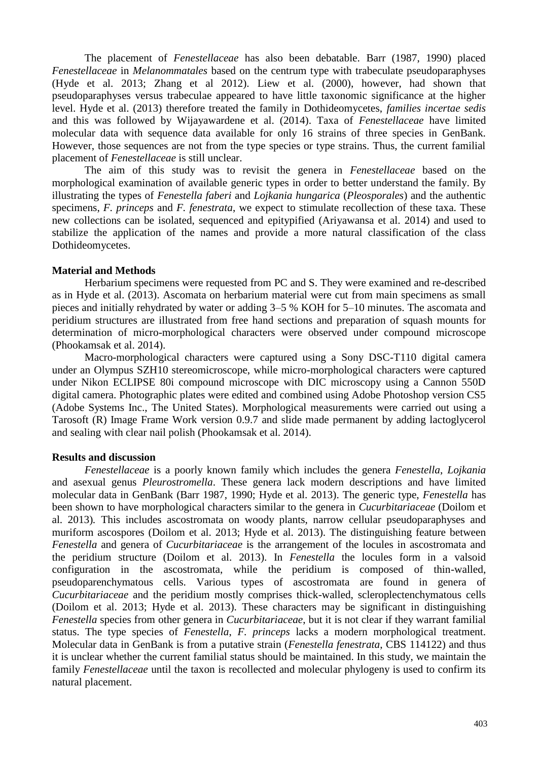The placement of *Fenestellaceae* has also been debatable. Barr (1987, 1990) placed *Fenestellaceae* in *Melanommatales* based on the centrum type with trabeculate pseudoparaphyses (Hyde et al. 2013; Zhang et al 2012). Liew et al. (2000), however, had shown that pseudoparaphyses versus trabeculae appeared to have little taxonomic significance at the higher level. Hyde et al. (2013) therefore treated the family in Dothideomycetes, *families incertae sedis* and this was followed by Wijayawardene et al. (2014). Taxa of *Fenestellaceae* have limited molecular data with sequence data available for only 16 strains of three species in GenBank. However, those sequences are not from the type species or type strains. Thus, the current familial placement of *Fenestellaceae* is still unclear.

The aim of this study was to revisit the genera in *Fenestellaceae* based on the morphological examination of available generic types in order to better understand the family. By illustrating the types of *Fenestella faberi* and *Lojkania hungarica* (*Pleosporales*) and the authentic specimens, *F. princeps* and *F. fenestrata*, we expect to stimulate recollection of these taxa. These new collections can be isolated, sequenced and epitypified (Ariyawansa et al. 2014) and used to stabilize the application of the names and provide a more natural classification of the class Dothideomycetes.

#### **Material and Methods**

Herbarium specimens were requested from PC and S. They were examined and re-described as in Hyde et al. (2013). Ascomata on herbarium material were cut from main specimens as small pieces and initially rehydrated by water or adding 3–5 % KOH for 5–10 minutes. The ascomata and peridium structures are illustrated from free hand sections and preparation of squash mounts for determination of micro-morphological characters were observed under compound microscope (Phookamsak et al. 2014).

Macro-morphological characters were captured using a Sony DSC-T110 digital camera under an Olympus SZH10 stereomicroscope, while micro-morphological characters were captured under Nikon ECLIPSE 80i compound microscope with DIC microscopy using a Cannon 550D digital camera. Photographic plates were edited and combined using Adobe Photoshop version CS5 (Adobe Systems Inc., The United States). Morphological measurements were carried out using a Tarosoft (R) Image Frame Work version 0.9.7 and slide made permanent by adding lactoglycerol and sealing with clear nail polish (Phookamsak et al. 2014).

#### **Results and discussion**

*Fenestellaceae* is a poorly known family which includes the genera *Fenestella*, *Lojkania* and asexual genus *Pleurostromella*. These genera lack modern descriptions and have limited molecular data in GenBank (Barr 1987, 1990; Hyde et al. 2013). The generic type, *Fenestella* has been shown to have morphological characters similar to the genera in *Cucurbitariaceae* (Doilom et al. 2013)*.* This includes ascostromata on woody plants, narrow cellular pseudoparaphyses and muriform ascospores (Doilom et al. 2013; Hyde et al. 2013). The distinguishing feature between *Fenestella* and genera of *Cucurbitariaceae* is the arrangement of the locules in ascostromata and the peridium structure (Doilom et al. 2013). In *Fenestella* the locules form in a valsoid configuration in the ascostromata, while the peridium is composed of thin-walled, pseudoparenchymatous cells. Various types of ascostromata are found in genera of *Cucurbitariaceae* and the peridium mostly comprises thick-walled, scleroplectenchymatous cells (Doilom et al. 2013; Hyde et al. 2013). These characters may be significant in distinguishing *Fenestella* species from other genera in *Cucurbitariaceae*, but it is not clear if they warrant familial status. The type species of *Fenestella*, *F. princeps* lacks a modern morphological treatment. Molecular data in GenBank is from a putative strain (*Fenestella fenestrata*, CBS 114122) and thus it is unclear whether the current familial status should be maintained. In this study, we maintain the family *Fenestellaceae* until the taxon is recollected and molecular phylogeny is used to confirm its natural placement.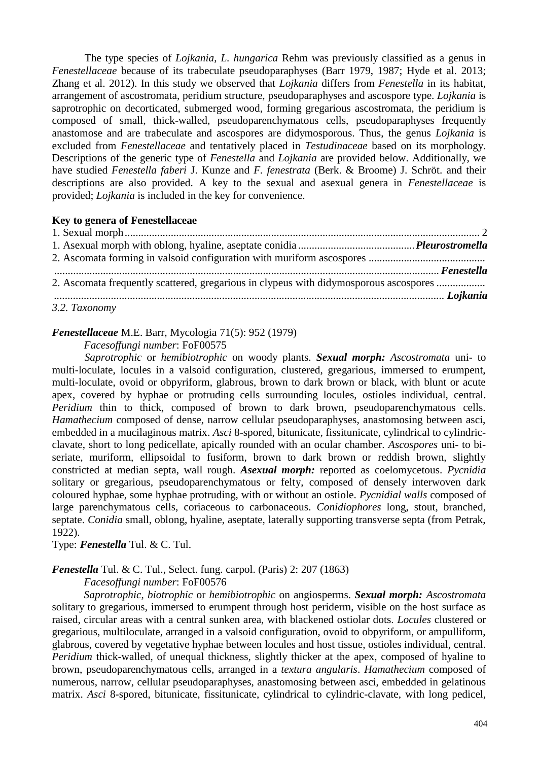The type species of *Lojkania*, *L. hungarica* Rehm was previously classified as a genus in *Fenestellaceae* because of its trabeculate pseudoparaphyses (Barr 1979, 1987; Hyde et al. 2013; Zhang et al. 2012). In this study we observed that *Lojkania* differs from *Fenestella* in its habitat, arrangement of ascostromata, peridium structure, pseudoparaphyses and ascospore type. *Lojkania* is saprotrophic on decorticated, submerged wood, forming gregarious ascostromata, the peridium is composed of small, thick-walled, pseudoparenchymatous cells, pseudoparaphyses frequently anastomose and are trabeculate and ascospores are didymosporous. Thus, the genus *Lojkania* is excluded from *Fenestellaceae* and tentatively placed in *Testudinaceae* based on its morphology. Descriptions of the generic type of *Fenestella* and *Lojkania* are provided below. Additionally, we have studied *Fenestella faberi* J. Kunze and *F. fenestrata* (Berk. & Broome) J. Schröt. and their descriptions are also provided. A key to the sexual and asexual genera in *Fenestellaceae* is provided; *Lojkania* is included in the key for convenience.

#### **Key to genera of Fenestellaceae**

| Fenestella Equation Communication of the Community of the Community of the Community of the Community of the Community of the Community of the Community of the Community of the Community of the Community of the Community o |  |
|--------------------------------------------------------------------------------------------------------------------------------------------------------------------------------------------------------------------------------|--|
| 2. Ascomata frequently scattered, gregarious in clypeus with didymosporous ascospores                                                                                                                                          |  |
|                                                                                                                                                                                                                                |  |
| 3.2. Taxonomy                                                                                                                                                                                                                  |  |

## *Fenestellaceae* M.E. Barr, Mycologia 71(5): 952 (1979)

*Facesoffungi number*: FoF00575

*Saprotrophic* or *hemibiotrophic* on woody plants. *Sexual morph: Ascostromata* uni- to multi-loculate, locules in a valsoid configuration, clustered, gregarious, immersed to erumpent, multi-loculate, ovoid or obpyriform, glabrous, brown to dark brown or black, with blunt or acute apex, covered by hyphae or protruding cells surrounding locules, ostioles individual, central. *Peridium* thin to thick, composed of brown to dark brown, pseudoparenchymatous cells. *Hamathecium* composed of dense, narrow cellular pseudoparaphyses, anastomosing between asci, embedded in a mucilaginous matrix. *Asci* 8-spored, bitunicate, fissitunicate, cylindrical to cylindricclavate, short to long pedicellate, apically rounded with an ocular chamber. *Ascospores* uni- to biseriate, muriform, ellipsoidal to fusiform, brown to dark brown or reddish brown, slightly constricted at median septa, wall rough. *Asexual morph:* reported as coelomycetous. *Pycnidia*  solitary or gregarious, pseudoparenchymatous or felty, composed of densely interwoven dark coloured hyphae, some hyphae protruding, with or without an ostiole. *Pycnidial walls* composed of large parenchymatous cells, coriaceous to carbonaceous. *Conidiophores* long, stout, branched, septate. *Conidia* small, oblong, hyaline, aseptate, laterally supporting transverse septa (from Petrak, 1922).

Type: *Fenestella* Tul. & C. Tul.

## *Fenestella* Tul. & C. Tul., Select. fung. carpol. (Paris) 2: 207 (1863)

*Facesoffungi number*: FoF00576

*Saprotrophic*, *biotrophic* or *hemibiotrophic* on angiosperms. *Sexual morph: Ascostromata*  solitary to gregarious, immersed to erumpent through host periderm, visible on the host surface as raised, circular areas with a central sunken area, with blackened ostiolar dots. *Locules* clustered or gregarious, multiloculate, arranged in a valsoid configuration, ovoid to obpyriform, or ampulliform, glabrous, covered by vegetative hyphae between locules and host tissue, ostioles individual, central. *Peridium* thick-walled, of unequal thickness, slightly thicker at the apex, composed of hyaline to brown, pseudoparenchymatous cells, arranged in a *textura angularis*. *Hamathecium* composed of numerous, narrow, cellular pseudoparaphyses, anastomosing between asci, embedded in gelatinous matrix. *Asci* 8-spored, bitunicate, fissitunicate, cylindrical to cylindric-clavate, with long pedicel,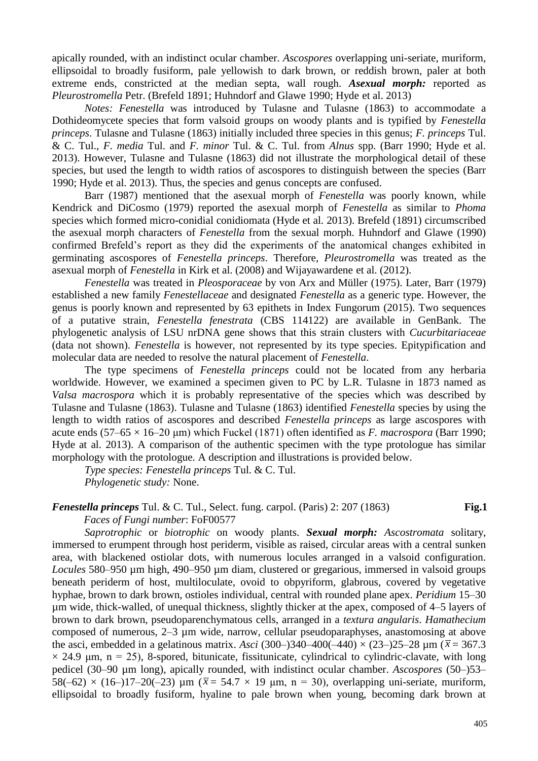apically rounded, with an indistinct ocular chamber. *Ascospores* overlapping uni-seriate, muriform, ellipsoidal to broadly fusiform, pale yellowish to dark brown, or reddish brown, paler at both extreme ends, constricted at the median septa, wall rough. *Asexual morph:* reported as *Pleurostromella* Petr. (Brefeld 1891; Huhndorf and Glawe 1990; Hyde et al. 2013)

*Notes: Fenestella* was introduced by Tulasne and Tulasne (1863) to accommodate a Dothideomycete species that form valsoid groups on woody plants and is typified by *Fenestella princeps*. Tulasne and Tulasne (1863) initially included three species in this genus; *F. princeps* Tul. & C. Tul., *F. media* Tul. and *F. minor* Tul. & C. Tul. from *Alnus* spp. (Barr 1990; Hyde et al. 2013). However, Tulasne and Tulasne (1863) did not illustrate the morphological detail of these species, but used the length to width ratios of ascospores to distinguish between the species (Barr 1990; Hyde et al. 2013). Thus, the species and genus concepts are confused.

Barr (1987) mentioned that the asexual morph of *Fenestella* was poorly known, while Kendrick and DiCosmo (1979) reported the asexual morph of *Fenestella* as similar to *Phoma*  species which formed micro-conidial conidiomata (Hyde et al. 2013). Brefeld (1891) circumscribed the asexual morph characters of *Fenestella* from the sexual morph. Huhndorf and Glawe (1990) confirmed Brefeld's report as they did the experiments of the anatomical changes exhibited in germinating ascospores of *Fenestella princeps*. Therefore, *Pleurostromella* was treated as the asexual morph of *Fenestella* in Kirk et al. (2008) and Wijayawardene et al. (2012).

*Fenestella* was treated in *Pleosporaceae* by von Arx and Müller (1975). Later, Barr (1979) established a new family *Fenestellaceae* and designated *Fenestella* as a generic type. However, the genus is poorly known and represented by 63 epithets in Index Fungorum (2015). Two sequences of a putative strain, *Fenestella fenestrata* (CBS 114122) are available in GenBank. The phylogenetic analysis of LSU nrDNA gene shows that this strain clusters with *Cucurbitariaceae* (data not shown). *Fenestella* is however, not represented by its type species. Epitypification and molecular data are needed to resolve the natural placement of *Fenestella*.

The type specimens of *Fenestella princeps* could not be located from any herbaria worldwide. However, we examined a specimen given to PC by L.R. Tulasne in 1873 named as *Valsa macrospora* which it is probably representative of the species which was described by Tulasne and Tulasne (1863). Tulasne and Tulasne (1863) identified *Fenestella* species by using the length to width ratios of ascospores and described *Fenestella princeps* as large ascospores with acute ends (57–65 × 16–20 μm) which Fuckel (1871) often identified as *F. macrospora* (Barr 1990; Hyde at al. 2013). A comparison of the authentic specimen with the type protologue has similar morphology with the protologue. A description and illustrations is provided below.

*Type species: Fenestella princeps* Tul. & C. Tul.

*Phylogenetic study:* None.

*Fenestella princeps* Tul. & C. Tul.*,* Select. fung. carpol. (Paris) 2: 207 (1863) **Fig.1** *Faces of Fungi number*: FoF00577

*Saprotrophic* or *biotrophic* on woody plants. *Sexual morph: Ascostromata* solitary, immersed to erumpent through host periderm, visible as raised, circular areas with a central sunken area, with blackened ostiolar dots, with numerous locules arranged in a valsoid configuration. *Locules* 580–950 µm high, 490–950 µm diam, clustered or gregarious, immersed in valsoid groups beneath periderm of host, multiloculate, ovoid to obpyriform, glabrous, covered by vegetative hyphae, brown to dark brown, ostioles individual, central with rounded plane apex. *Peridium* 15–30 µm wide, thick-walled, of unequal thickness, slightly thicker at the apex, composed of 4–5 layers of brown to dark brown, pseudoparenchymatous cells, arranged in a *textura angularis*. *Hamathecium* composed of numerous, 2–3 µm wide, narrow, cellular pseudoparaphyses, anastomosing at above the asci, embedded in a gelatinous matrix. *Asci* (300–)340–400(–440)  $\times$  (23–)25–28  $\mu$ m ( $\bar{x}$  = 367.3  $\times$  24.9 μm, n = 25), 8-spored, bitunicate, fissitunicate, cylindrical to cylindric-clavate, with long pedicel (30–90 µm long), apically rounded, with indistinct ocular chamber. *Ascospores* (50–)53– 58(-62)  $\times$  (16-)17-20(-23)  $\mu$ m ( $\bar{x}$  = 54.7  $\times$  19  $\mu$ m, n = 30), overlapping uni-seriate, muriform, ellipsoidal to broadly fusiform, hyaline to pale brown when young, becoming dark brown at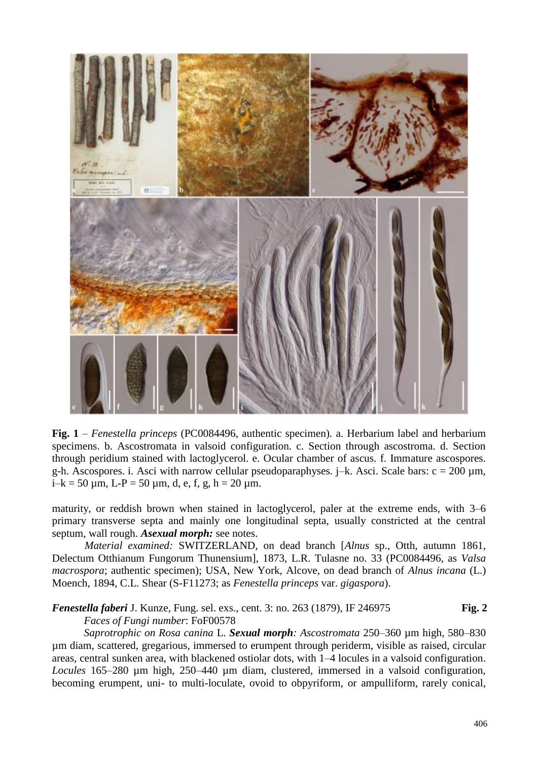

**Fig. 1** – *Fenestella princeps* (PC0084496, authentic specimen)*.* a. Herbarium label and herbarium specimens. b. Ascostromata in valsoid configuration. c. Section through ascostroma. d. Section through peridium stained with lactoglycerol. e. Ocular chamber of ascus. f. Immature ascospores. g-h. Ascospores. i. Asci with narrow cellular pseudoparaphyses.  $j-k$ . Asci. Scale bars:  $c = 200 \mu m$ ,  $i-k = 50 \text{ µm}, L-P = 50 \text{ µm}, d, e, f, g, h = 20 \text{ µm}.$ 

maturity, or reddish brown when stained in lactoglycerol, paler at the extreme ends, with 3–6 primary transverse septa and mainly one longitudinal septa, usually constricted at the central septum, wall rough. *Asexual morph:* see notes.

*Material examined:* SWITZERLAND, on dead branch [*Alnus* sp., Otth, autumn 1861, Delectum Otthianum Fungorum Thunensium], 1873, L.R. Tulasne no. 33 (PC0084496, as *Valsa macrospora*; authentic specimen); USA, New York, Alcove, on dead branch of *Alnus incana* (L.) Moench, 1894, C.L. Shear (S-F11273; as *Fenestella princeps* var. *gigaspora*).

*Fenestella faberi* J. Kunze, Fung. sel. exs., cent. 3: no. 263 (1879), IF 246975 **Fig. 2** *Faces of Fungi number*: FoF00578

*Saprotrophic on Rosa canina* L. *Sexual morph: Ascostromata* 250–360 µm high, 580–830 µm diam, scattered, gregarious, immersed to erumpent through periderm, visible as raised, circular areas, central sunken area, with blackened ostiolar dots, with 1–4 locules in a valsoid configuration. *Locules* 165–280 µm high, 250–440 µm diam, clustered, immersed in a valsoid configuration, becoming erumpent, uni- to multi-loculate, ovoid to obpyriform, or ampulliform, rarely conical,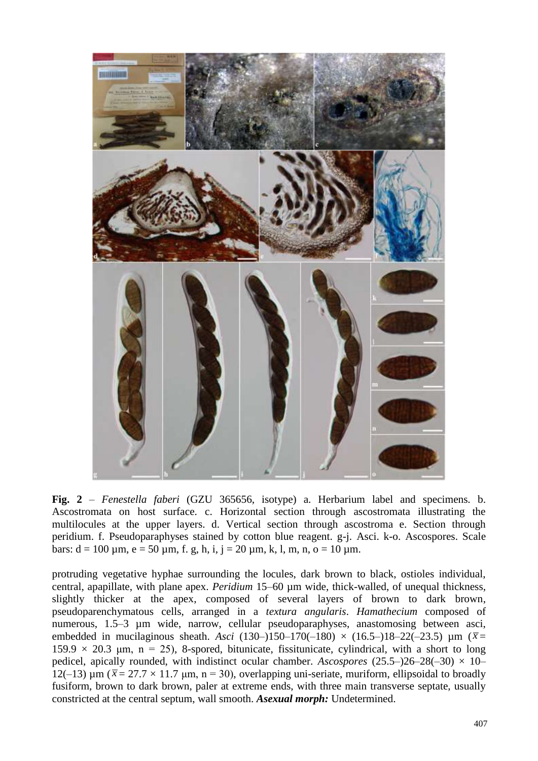

**Fig. 2** – *Fenestella faberi* (GZU 365656, isotype) a. Herbarium label and specimens*.* b. Ascostromata on host surface. c. Horizontal section through ascostromata illustrating the multilocules at the upper layers. d. Vertical section through ascostroma e. Section through peridium. f. Pseudoparaphyses stained by cotton blue reagent. g-j. Asci. k-o. Ascospores. Scale bars:  $d = 100 \mu m$ ,  $e = 50 \mu m$ , f. g, h, i, j = 20  $\mu$ m, k, l, m, n, o = 10  $\mu$ m.

protruding vegetative hyphae surrounding the locules, dark brown to black, ostioles individual, central, apapillate, with plane apex. *Peridium* 15–60 µm wide, thick-walled, of unequal thickness, slightly thicker at the apex, composed of several layers of brown to dark brown, pseudoparenchymatous cells, arranged in a *textura angularis*. *Hamathecium* composed of numerous, 1.5–3 µm wide, narrow, cellular pseudoparaphyses, anastomosing between asci, embedded in mucilaginous sheath. *Asci* (130–)150–170(-180) × (16.5–)18–22(-23.5)  $\mu$ m ( $\bar{x}$ =  $159.9 \times 20.3$  μm, n = 25), 8-spored, bitunicate, fissitunicate, cylindrical, with a short to long pedicel, apically rounded, with indistinct ocular chamber. *Ascospores* (25.5–)26–28(–30)  $\times$  10– 12(-13) μm ( $\bar{x}$  = 27.7 × 11.7 μm, n = 30), overlapping uni-seriate, muriform, ellipsoidal to broadly fusiform, brown to dark brown, paler at extreme ends, with three main transverse septate, usually constricted at the central septum, wall smooth. *Asexual morph:* Undetermined.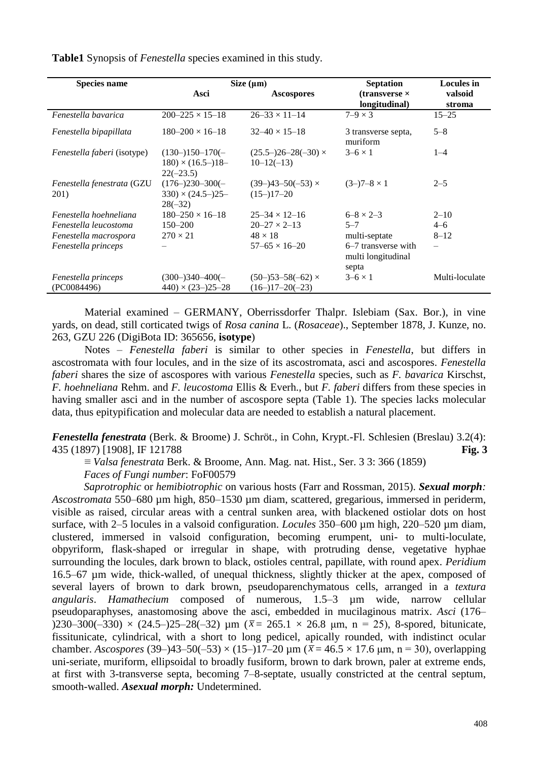**Table1** Synopsis of *Fenestella* species examined in this study.

| <b>Species name</b>                       | Size $(\mu m)$                                             |                                               | <b>Septation</b>                                   | <b>Locules</b> in        |
|-------------------------------------------|------------------------------------------------------------|-----------------------------------------------|----------------------------------------------------|--------------------------|
|                                           | Asci                                                       | <b>Ascospores</b>                             | $(transverse \times$<br>longitudinal)              | valsoid<br>stroma        |
| Fenestella bavarica                       | $200 - 225 \times 15 - 18$                                 | $26 - 33 \times 11 - 14$                      | $7-9 \times 3$                                     | $15 - 25$                |
| Fenestella bipapillata                    | $180 - 200 \times 16 - 18$                                 | $32 - 40 \times 15 - 18$                      | 3 transverse septa,<br>muriform                    | $5 - 8$                  |
| <i>Fenestella faberi</i> (isotype)        | $(130-150-170(-$<br>$180 \times (16.5-18-$<br>$22(-23.5)$  | $(25.5-26-28(-30) \times$<br>$10 - 12(-13)$   | $3-6 \times 1$                                     | $1 - 4$                  |
| <i>Fenestella fenestrata</i> (GZU<br>201) | $(176-230-300(-$<br>$330 \times (24.5 - 25 -$<br>$28(-32)$ | $(39-)43-50(-53) \times$<br>$(15-17-20)$      | $(3-)7-8 \times 1$                                 | $2 - 5$                  |
| Fenestella hoehneliana                    | $180 - 250 \times 16 - 18$                                 | $25 - 34 \times 12 - 16$                      | $6 - 8 \times 2 - 3$                               | $2 - 10$                 |
| Fenestella leucostoma                     | $150 - 200$                                                | $20 - 27 \times 2 - 13$                       | $5 - 7$                                            | $4 - 6$                  |
| Fenestella macrospora                     | $270 \times 21$                                            | $48 \times 18$                                | multi-septate                                      | $8 - 12$                 |
| Fenestella princeps                       |                                                            | $57-65 \times 16-20$                          | 6–7 transverse with<br>multi longitudinal<br>septa | $\overline{\phantom{m}}$ |
| Fenestella princeps<br>(PC0084496)        | $(300-)340-400(-)$<br>$440 \times (23 - 25 - 28)$          | $(50-)53-58(-62) \times$<br>$(16-17-20(-23))$ | $3-6 \times 1$                                     | Multi-loculate           |

Material examined – GERMANY, Oberrissdorfer Thalpr. Islebiam (Sax. Bor.), in vine yards, on dead, still corticated twigs of *Rosa canina* L. (*Rosaceae*)., September 1878, J. Kunze, no. 263, GZU 226 (DigiBota ID: 365656, **isotype**)

Notes – *Fenestella faberi* is similar to other species in *Fenestella*, but differs in ascostromata with four locules, and in the size of its ascostromata, asci and ascospores. *Fenestella faberi* shares the size of ascospores with various *Fenestella* species, such as *F. bavarica* Kirschst, *F. hoehneliana* Rehm. and *F. leucostoma* Ellis & Everh., but *F. faberi* differs from these species in having smaller asci and in the number of ascospore septa (Table 1). The species lacks molecular data, thus epitypification and molecular data are needed to establish a natural placement.

*Fenestella fenestrata* (Berk. & Broome) J. Schröt., in Cohn, Krypt.-Fl. Schlesien (Breslau) 3.2(4): 435 (1897) [1908], IF 121788 **Fig. 3**

≡ *Valsa fenestrata* Berk. & Broome, Ann. Mag. nat. Hist., Ser. 3 3: 366 (1859)

*Faces of Fungi number*: FoF00579

*Saprotrophic* or *hemibiotrophic* on various hosts (Farr and Rossman, 2015). *Sexual morph: Ascostromata* 550–680 µm high, 850–1530 µm diam, scattered, gregarious, immersed in periderm, visible as raised, circular areas with a central sunken area, with blackened ostiolar dots on host surface, with 2–5 locules in a valsoid configuration. *Locules* 350–600 µm high, 220–520 µm diam, clustered, immersed in valsoid configuration, becoming erumpent, uni- to multi-loculate, obpyriform, flask-shaped or irregular in shape, with protruding dense, vegetative hyphae surrounding the locules, dark brown to black, ostioles central, papillate, with round apex. *Peridium* 16.5–67 µm wide, thick-walled, of unequal thickness, slightly thicker at the apex, composed of several layers of brown to dark brown, pseudoparenchymatous cells, arranged in a *textura angularis*. *Hamathecium* composed of numerous, 1.5–3 µm wide, narrow cellular pseudoparaphyses, anastomosing above the asci, embedded in mucilaginous matrix. *Asci* (176– )230–300(-330)  $\times$  (24.5–)25–28(-32)  $\mu$ m ( $\bar{x}$  = 265.1  $\times$  26.8  $\mu$ m, n = 25), 8-spored, bitunicate, fissitunicate, cylindrical, with a short to long pedicel, apically rounded, with indistinct ocular chamber. *Ascospores* (39–)43–50(–53) × (15–)17–20  $\mu$ m ( $\bar{x}$  = 46.5 × 17.6  $\mu$ m, n = 30), overlapping uni-seriate, muriform, ellipsoidal to broadly fusiform, brown to dark brown, paler at extreme ends, at first with 3-transverse septa, becoming 7–8-septate, usually constricted at the central septum, smooth-walled. *Asexual morph:* Undetermined.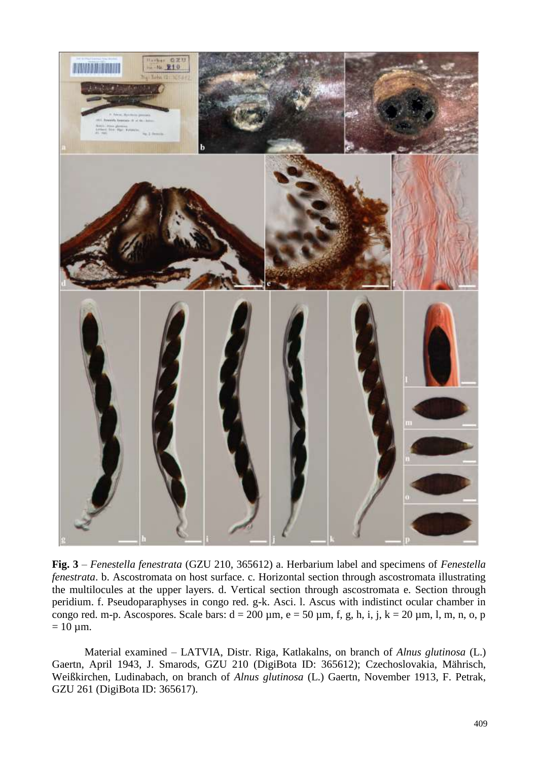

**Fig. 3** – *Fenestella fenestrata* (GZU 210, 365612) a. Herbarium label and specimens of *Fenestella fenestrata*. b. Ascostromata on host surface. c. Horizontal section through ascostromata illustrating the multilocules at the upper layers. d. Vertical section through ascostromata e. Section through peridium. f. Pseudoparaphyses in congo red. g-k. Asci. l. Ascus with indistinct ocular chamber in congo red. m-p. Ascospores. Scale bars:  $d = 200 \mu m$ ,  $e = 50 \mu m$ , f, g, h, i, j,  $k = 20 \mu m$ , l, m, n, o, p  $= 10 \mu m$ .

Material examined – LATVIA, Distr. Riga, Katlakalns, on branch of *Alnus glutinosa* (L.) Gaertn, April 1943, J. Smarods, GZU 210 (DigiBota ID: 365612); Czechoslovakia, Mährisch, Weißkirchen, Ludinabach, on branch of *Alnus glutinosa* (L.) Gaertn, November 1913, F. Petrak, GZU 261 (DigiBota ID: 365617).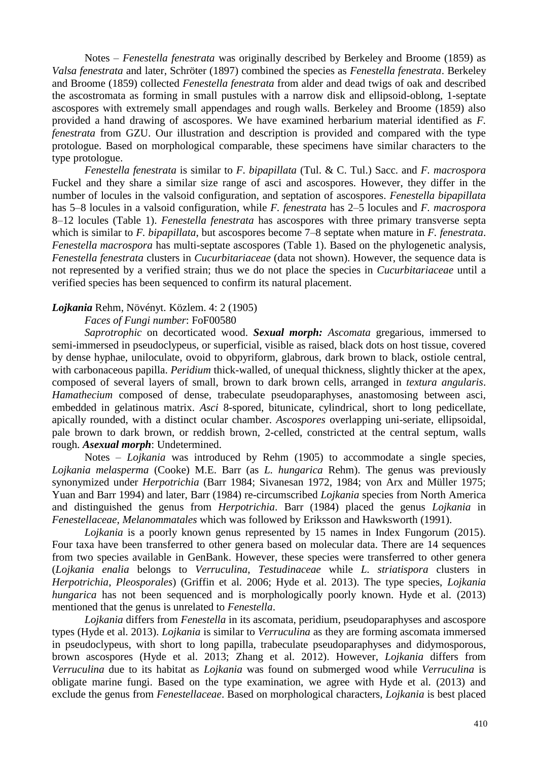Notes – *Fenestella fenestrata* was originally described by Berkeley and Broome (1859) as *Valsa fenestrata* and later, Schröter (1897) combined the species as *Fenestella fenestrata*. Berkeley and Broome (1859) collected *Fenestella fenestrata* from alder and dead twigs of oak and described the ascostromata as forming in small pustules with a narrow disk and ellipsoid-oblong, 1-septate ascospores with extremely small appendages and rough walls. Berkeley and Broome (1859) also provided a hand drawing of ascospores. We have examined herbarium material identified as *F. fenestrata* from GZU. Our illustration and description is provided and compared with the type protologue. Based on morphological comparable, these specimens have similar characters to the type protologue.

*Fenestella fenestrata* is similar to *F. bipapillata* (Tul. & C. Tul.) Sacc. and *F. macrospora* Fuckel and they share a similar size range of asci and ascospores. However, they differ in the number of locules in the valsoid configuration, and septation of ascospores. *Fenestella bipapillata* has 5–8 locules in a valsoid configuration, while *F. fenestrata* has 2–5 locules and *F. macrospora* 8–12 locules (Table 1). *Fenestella fenestrata* has ascospores with three primary transverse septa which is similar to *F. bipapillata*, but ascospores become 7–8 septate when mature in *F. fenestrata*. *Fenestella macrospora* has multi-septate ascospores (Table 1). Based on the phylogenetic analysis, *Fenestella fenestrata* clusters in *Cucurbitariaceae* (data not shown). However, the sequence data is not represented by a verified strain; thus we do not place the species in *Cucurbitariaceae* until a verified species has been sequenced to confirm its natural placement.

#### *Lojkania* Rehm, Növényt. Közlem. 4: 2 (1905)

#### *Faces of Fungi number*: FoF00580

*Saprotrophic* on decorticated wood. *Sexual morph: Ascomata* gregarious, immersed to semi-immersed in pseudoclypeus, or superficial, visible as raised, black dots on host tissue, covered by dense hyphae, uniloculate, ovoid to obpyriform, glabrous, dark brown to black, ostiole central, with carbonaceous papilla. *Peridium* thick-walled, of unequal thickness, slightly thicker at the apex, composed of several layers of small, brown to dark brown cells, arranged in *textura angularis*. *Hamathecium* composed of dense, trabeculate pseudoparaphyses, anastomosing between asci, embedded in gelatinous matrix. *Asci* 8-spored, bitunicate, cylindrical, short to long pedicellate, apically rounded, with a distinct ocular chamber. *Ascospores* overlapping uni-seriate, ellipsoidal, pale brown to dark brown, or reddish brown, 2-celled, constricted at the central septum, walls rough. *Asexual morph*: Undetermined.

Notes – *Lojkania* was introduced by Rehm (1905) to accommodate a single species, *Lojkania melasperma* (Cooke) M.E. Barr (as *L. hungarica* Rehm). The genus was previously synonymized under *Herpotrichia* (Barr 1984; Sivanesan 1972, 1984; von Arx and Müller 1975; Yuan and Barr 1994) and later, Barr (1984) re-circumscribed *Lojkania* species from North America and distinguished the genus from *Herpotrichia*. Barr (1984) placed the genus *Lojkania* in *Fenestellaceae*, *Melanommatales* which was followed by Eriksson and Hawksworth (1991).

*Lojkania* is a poorly known genus represented by 15 names in Index Fungorum (2015). Four taxa have been transferred to other genera based on molecular data. There are 14 sequences from two species available in GenBank. However, these species were transferred to other genera (*Lojkania enalia* belongs to *Verruculina*, *Testudinaceae* while *L. striatispora* clusters in *Herpotrichia*, *Pleosporales*) (Griffin et al. 2006; Hyde et al. 2013). The type species, *Lojkania hungarica* has not been sequenced and is morphologically poorly known. Hyde et al. (2013) mentioned that the genus is unrelated to *Fenestella*.

*Lojkania* differs from *Fenestella* in its ascomata, peridium, pseudoparaphyses and ascospore types (Hyde et al. 2013). *Lojkania* is similar to *Verruculina* as they are forming ascomata immersed in pseudoclypeus, with short to long papilla, trabeculate pseudoparaphyses and didymosporous, brown ascospores (Hyde et al. 2013; Zhang et al. 2012). However, *Lojkania* differs from *Verruculina* due to its habitat as *Lojkania* was found on submerged wood while *Verruculina* is obligate marine fungi. Based on the type examination, we agree with Hyde et al. (2013) and exclude the genus from *Fenestellaceae*. Based on morphological characters, *Lojkania* is best placed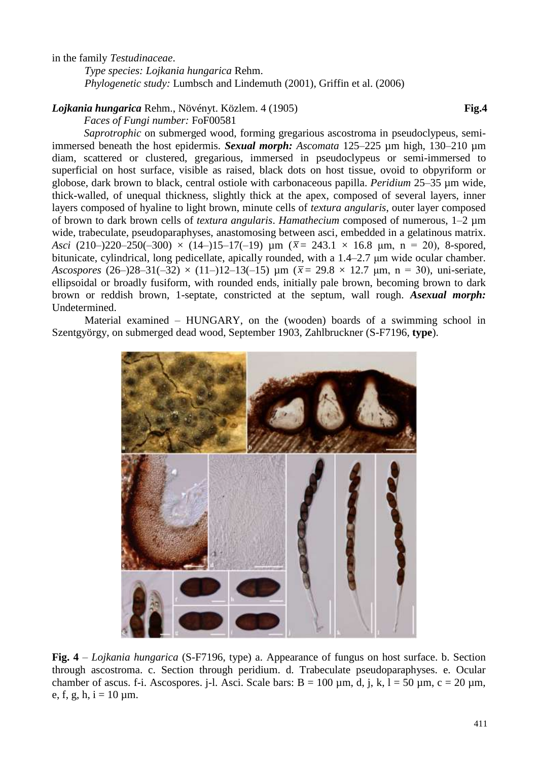in the family *Testudinaceae*.

*Type species: Lojkania hungarica* Rehm. *Phylogenetic study:* Lumbsch and Lindemuth (2001), Griffin et al. (2006)

### *Lojkania hungarica* Rehm., Növényt. Közlem. 4 (1905) **Fig.4**

*Faces of Fungi number:* FoF00581

*Saprotrophic* on submerged wood, forming gregarious ascostroma in pseudoclypeus, semiimmersed beneath the host epidermis. *Sexual morph: Ascomata* 125–225 µm high, 130–210 µm diam, scattered or clustered, gregarious, immersed in pseudoclypeus or semi-immersed to superficial on host surface, visible as raised, black dots on host tissue, ovoid to obpyriform or globose, dark brown to black, central ostiole with carbonaceous papilla. *Peridium* 25–35 µm wide, thick-walled, of unequal thickness, slightly thick at the apex, composed of several layers, inner layers composed of hyaline to light brown, minute cells of *textura angularis*, outer layer composed of brown to dark brown cells of *textura angularis*. *Hamathecium* composed of numerous, 1–2 µm wide, trabeculate, pseudoparaphyses, anastomosing between asci, embedded in a gelatinous matrix. *Asci* (210–)220–250(-300)  $\times$  (14–)15–17(-19)  $\mu$ m ( $\bar{x}$  = 243.1  $\times$  16.8  $\mu$ m, n = 20), 8-spored, bitunicate, cylindrical, long pedicellate, apically rounded, with a 1.4–2.7 μm wide ocular chamber. *Ascospores* (26–)28–31(-32)  $\times$  (11–)12–13(-15)  $\mu$ m ( $\bar{x}$  = 29.8  $\times$  12.7  $\mu$ m, n = 30), uni-seriate, ellipsoidal or broadly fusiform, with rounded ends, initially pale brown, becoming brown to dark brown or reddish brown, 1-septate, constricted at the septum, wall rough. *Asexual morph:* Undetermined.

Material examined – HUNGARY, on the (wooden) boards of a swimming school in Szentgyörgy, on submerged dead wood, September 1903, Zahlbruckner (S-F7196, **type**).



**Fig. 4** – *Lojkania hungarica* (S-F7196, type) a. Appearance of fungus on host surface. b. Section through ascostroma. c. Section through peridium. d. Trabeculate pseudoparaphyses. e. Ocular chamber of ascus. f-i. Ascospores. j-l. Asci. Scale bars:  $B = 100 \mu m$ , d, j, k,  $l = 50 \mu m$ , c = 20  $\mu$ m, e, f, g, h,  $i = 10 \mu m$ .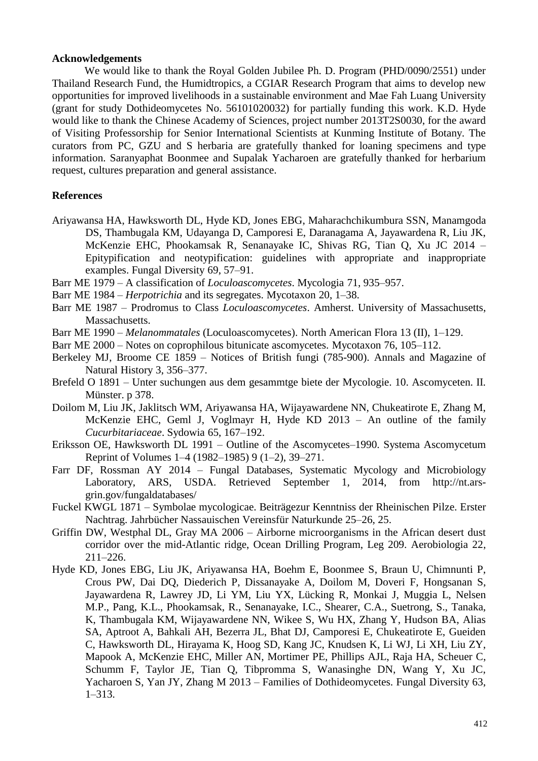#### **Acknowledgements**

We would like to thank the Royal Golden Jubilee Ph. D. Program (PHD/0090/2551) under Thailand Research Fund, the Humidtropics, a CGIAR Research Program that aims to develop new opportunities for improved livelihoods in a sustainable environment and Mae Fah Luang University (grant for study Dothideomycetes No. 56101020032) for partially funding this work. K.D. Hyde would like to thank the Chinese Academy of Sciences, project number 2013T2S0030, for the award of Visiting Professorship for Senior International Scientists at Kunming Institute of Botany. The curators from PC, GZU and S herbaria are gratefully thanked for loaning specimens and type information. Saranyaphat Boonmee and Supalak Yacharoen are gratefully thanked for herbarium request, cultures preparation and general assistance.

## **References**

- Ariyawansa HA, Hawksworth DL, Hyde KD, Jones EBG, Maharachchikumbura SSN, Manamgoda DS, Thambugala KM, Udayanga D, Camporesi E, Daranagama A, Jayawardena R, Liu JK, McKenzie EHC, Phookamsak R, Senanayake IC, Shivas RG, Tian Q, Xu JC 2014 – Epitypification and neotypification: guidelines with appropriate and inappropriate examples. Fungal Diversity 69, 57–91.
- Barr ME 1979 A classification of *Loculoascomycetes*. Mycologia 71, 935–957.
- Barr ME 1984 *Herpotrichia* and its segregates. Mycotaxon 20, 1–38.
- Barr ME 1987 Prodromus to Class *Loculoascomycetes*. Amherst. University of Massachusetts, Massachusetts.
- Barr ME 1990 *Melanommatales* (Loculoascomycetes). North American Flora 13 (II), 1–129.
- Barr ME 2000 Notes on coprophilous bitunicate ascomycetes. Mycotaxon 76, 105–112.
- Berkeley MJ, Broome CE 1859 Notices of British fungi (785-900). Annals and Magazine of Natural History 3, 356–377.
- Brefeld O 1891 Unter suchungen aus dem gesammtge biete der Mycologie. 10. Ascomyceten. II. Münster. p 378.
- Doilom M, Liu JK, Jaklitsch WM, Ariyawansa HA, Wijayawardene NN, Chukeatirote E, Zhang M, McKenzie EHC, Geml J, Voglmayr H, Hyde KD 2013 – An outline of the family *Cucurbitariaceae*. Sydowia 65, 167–192.
- Eriksson OE, Hawksworth DL 1991 Outline of the Ascomycetes–1990. Systema Ascomycetum Reprint of Volumes 1–4 (1982–1985) 9 (1–2), 39–271.
- Farr DF, Rossman AY 2014 Fungal Databases, Systematic Mycology and Microbiology Laboratory, ARS, USDA. Retrieved September 1, 2014, from http://nt.arsgrin.gov/fungaldatabases/
- Fuckel KWGL 1871 Symbolae mycologicae. Beiträgezur Kenntniss der Rheinischen Pilze. Erster Nachtrag. Jahrbücher Nassauischen Vereinsfür Naturkunde 25–26, 25.
- Griffin DW, Westphal DL, Gray MA 2006 Airborne microorganisms in the African desert dust corridor over the mid-Atlantic ridge, Ocean Drilling Program, Leg 209. Aerobiologia 22, 211–226.
- Hyde KD, Jones EBG, Liu JK, Ariyawansa HA, Boehm E, Boonmee S, Braun U, Chimnunti P, Crous PW, Dai DQ, Diederich P, Dissanayake A, Doilom M, Doveri F, Hongsanan S, Jayawardena R, Lawrey JD, Li YM, Liu YX, Lücking R, Monkai J, Muggia L, Nelsen M.P., Pang, K.L., Phookamsak, R., Senanayake, I.C., Shearer, C.A., Suetrong, S., Tanaka, K, Thambugala KM, Wijayawardene NN, Wikee S, Wu HX, Zhang Y, Hudson BA, Alias SA, Aptroot A, Bahkali AH, Bezerra JL, Bhat DJ, Camporesi E, Chukeatirote E, Gueiden C, Hawksworth DL, Hirayama K, Hoog SD, Kang JC, Knudsen K, Li WJ, Li XH, Liu ZY, Mapook A, McKenzie EHC, Miller AN, Mortimer PE, Phillips AJL, Raja HA, Scheuer C, Schumm F, Taylor JE, Tian Q, Tibpromma S, Wanasinghe DN, Wang Y, Xu JC, Yacharoen S, Yan JY, Zhang M 2013 – Families of Dothideomycetes. Fungal Diversity 63, 1–313.